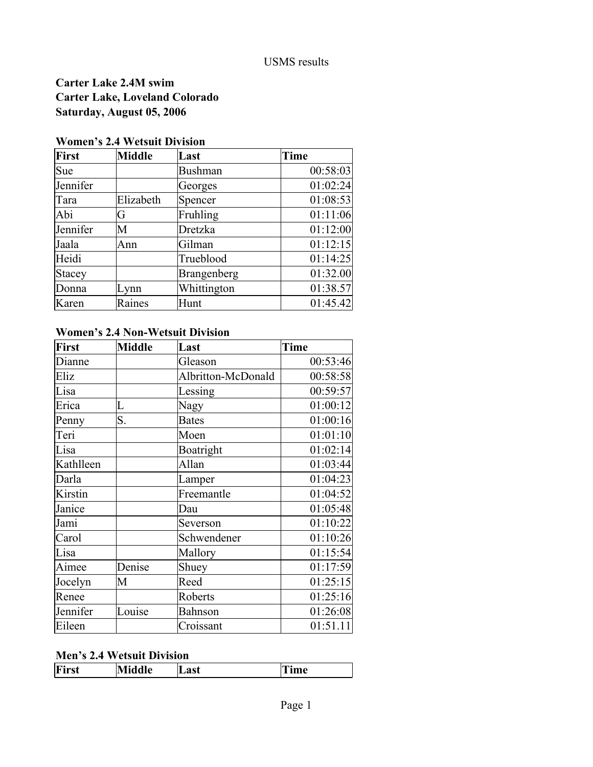#### USMS results

# **Carter Lake 2.4M swim Carter Lake, Loveland Colorado Saturday, August 05, 2006**

### **Women's 2.4 Wetsuit Division**

| <b>First</b> | <b>Middle</b> | Last           | <b>Time</b> |
|--------------|---------------|----------------|-------------|
| Sue          |               | <b>Bushman</b> | 00:58:03    |
| Jennifer     |               | Georges        | 01:02:24    |
| Tara         | Elizabeth     | Spencer        | 01:08:53    |
| Abi          | G             | Fruhling       | 01:11:06    |
| Jennifer     | M             | Dretzka        | 01:12:00    |
| Jaala        | Ann           | Gilman         | 01:12:15    |
| Heidi        |               | Trueblood      | 01:14:25    |
| Stacey       |               | Brangenberg    | 01:32.00    |
| Donna        | Lynn          | Whittington    | 01:38.57    |
| Karen        | Raines        | Hunt           | 01:45.42    |

# **Women's 2.4 Non-Wetsuit Division**

| <b>First</b> | <b>Middle</b> | Last               | <b>Time</b> |
|--------------|---------------|--------------------|-------------|
| Dianne       |               | Gleason            | 00:53:46    |
| Eliz         |               | Albritton-McDonald | 00:58:58    |
| Lisa         |               | Lessing            | 00:59:57    |
| Erica        | L             | Nagy               | 01:00:12    |
| Penny        | S.            | <b>Bates</b>       | 01:00:16    |
| Teri         |               | Moen               | 01:01:10    |
| Lisa         |               | Boatright          | 01:02:14    |
| Kathlleen    |               | Allan              | 01:03:44    |
| Darla        |               | Lamper             | 01:04:23    |
| Kirstin      |               | Freemantle         | 01:04:52    |
| Janice       |               | Dau                | 01:05:48    |
| Jami         |               | Severson           | 01:10:22    |
| Carol        |               | Schwendener        | 01:10:26    |
| Lisa         |               | Mallory            | 01:15:54    |
| Aimee        | Denise        | Shuey              | 01:17:59    |
| Jocelyn      | M             | Reed               | 01:25:15    |
| Renee        |               | Roberts            | 01:25:16    |
| Jennifer     | Louise        | <b>Bahnson</b>     | 01:26:08    |
| Eileen       |               | Croissant          | 01:51.11    |

#### **Men's 2.4 Wetsuit Division**

| First<br>Middle | ⊿ast | ime |
|-----------------|------|-----|
|-----------------|------|-----|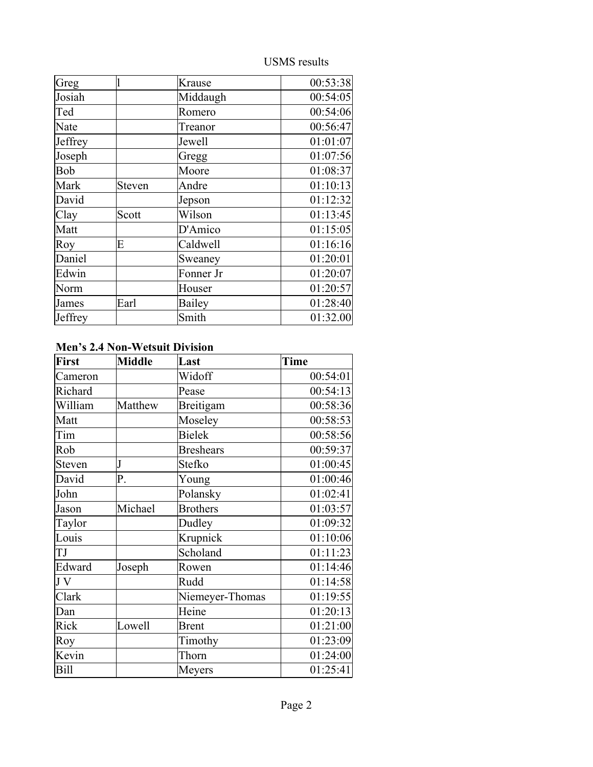USMS results

| Greg    |        | Krause        | 00:53:38 |
|---------|--------|---------------|----------|
| Josiah  |        | Middaugh      | 00:54:05 |
| Ted     |        | Romero        | 00:54:06 |
| Nate    |        | Treanor       | 00:56:47 |
| Jeffrey |        | Jewell        | 01:01:07 |
| Joseph  |        | Gregg         | 01:07:56 |
| Bob     |        | Moore         | 01:08:37 |
| Mark    | Steven | Andre         | 01:10:13 |
| David   |        | Jepson        | 01:12:32 |
| Clay    | Scott  | Wilson        | 01:13:45 |
| Matt    |        | D'Amico       | 01:15:05 |
| Roy     | E      | Caldwell      | 01:16:16 |
| Daniel  |        | Sweaney       | 01:20:01 |
| Edwin   |        | Fonner Jr     | 01:20:07 |
| Norm    |        | Houser        | 01:20:57 |
| James   | Earl   | <b>Bailey</b> | 01:28:40 |
| Jeffrey |        | Smith         | 01:32.00 |

### **Men's 2.4 Non-Wetsuit Division**

| <b>First</b> | <b>Middle</b> | Last             | Time     |
|--------------|---------------|------------------|----------|
| Cameron      |               | Widoff           | 00:54:01 |
| Richard      |               | Pease            | 00:54:13 |
| William      | Matthew       | Breitigam        | 00:58:36 |
| Matt         |               | Moseley          | 00:58:53 |
| Tim          |               | <b>Bielek</b>    | 00:58:56 |
| Rob          |               | <b>Breshears</b> | 00:59:37 |
| Steven       | J             | Stefko           | 01:00:45 |
| David        | P.            | Young            | 01:00:46 |
| John         |               | Polansky         | 01:02:41 |
| Jason        | Michael       | <b>Brothers</b>  | 01:03:57 |
| Taylor       |               | Dudley           | 01:09:32 |
| Louis        |               | Krupnick         | 01:10:06 |
| TJ           |               | Scholand         | 01:11:23 |
| Edward       | Joseph        | Rowen            | 01:14:46 |
| J V          |               | Rudd             | 01:14:58 |
| Clark        |               | Niemeyer-Thomas  | 01:19:55 |
| Dan          |               | Heine            | 01:20:13 |
| Rick         | Lowell        | <b>Brent</b>     | 01:21:00 |
| Roy          |               | Timothy          | 01:23:09 |
| Kevin        |               | Thorn            | 01:24:00 |
| Bill         |               | Meyers           | 01:25:41 |